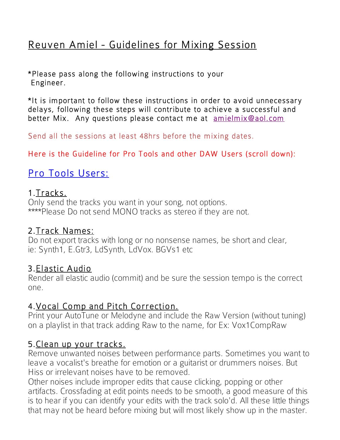# Reuven Amiel - Guidelines for Mixing Session

\*Please pass along the following instructions to your Engineer.

\*It is important to follow these instructions in order to avoid unnecessary delays, following these steps will contribute to achieve a successful and better Mix. Any questions please contact me at amielmix@aol.com

Send all the sessions at least 48hrs before the mixing dates.

Here is the Guideline for Pro Tools and other DAW Users (scroll down):

# Pro Tools Users:

#### 1.Tracks.

Only send the tracks you want in your song, not options. \*\*\*\*Please Do not send MONO tracks as stereo if they are not.

#### 2.Track Names:

Do not export tracks with long or no nonsense names, be short and clear, ie: Synth1, E.Gtr3, LdSynth, LdVox. BGVs1 etc

#### 3.Elastic Audio

Render all elastic audio (commit) and be sure the session tempo is the correct one.

#### 4.Vocal Comp and Pitch Correction.

Print your AutoTune or Melodyne and include the Raw Version (without tuning) on a playlist in that track adding Raw to the name, for Ex: Vox1CompRaw

#### 5.Clean up your tracks.

Remove unwanted noises between performance parts. Sometimes you want to leave a vocalist's breathe for emotion or a guitarist or drummers noises. But Hiss or irrelevant noises have to be removed.

Other noises include improper edits that cause clicking, popping or other artifacts. Crossfading at edit points needs to be smooth, a good measure of this is to hear if you can identify your edits with the track solo'd. All these little things that may not be heard before mixing but will most likely show up in the master.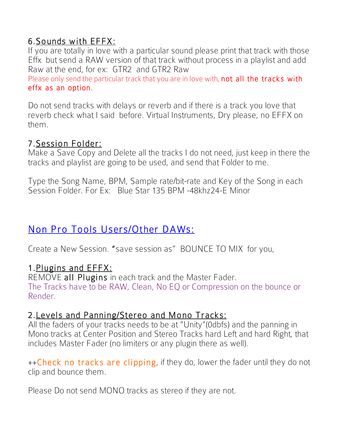# 6.Sounds with EFFX:

If you are totally in love with a particular sound please print that track with those Effx but send a RAW version of that track without process in a playlist and add Raw at the end, for ex: GTR2 and GTR2 Raw

Please only send the particular track that you are in love with, not all the tracks with effx as an option.

Do not send tracks with delays or reverb and if there is a track you love that reverb check what I said before. Virtual Instruments, Dry please, no EFFX on them.

7. Session Folder:<br>Make a Save Copy and Delete all the tracks I do not need, just keep in there the tracks and playlist are going to be used, and send that Folder to me.

Type the Song Name, BPM, Sample rate/bit-rate and Key of the Song in each Session Folder. For Ex: Blue Star 135 BPM -48khz24-E Minor

# Non Pro Tools Users/Other DAWs:

Create a New Session. "save session as" BOUNCE TO MIX for you,

#### 1.Plugins and EFFX:

REMOVE all Plugins in each track and the Master Fader. The Tracks have to be RAW, Clean, No EQ or Compression on the bounce or Render.

#### 2.Levels and Panning/Stereo and Mono Tracks:

All the faders of your tracks needs to be at "Unity"(0dbfs) and the panning in Mono tracks at Center Position and Stereo Tracks hard Left and hard Right, that includes Master Fader (no limiters or any plugin there as well).

++Check no tracks are clipping, if they do, lower the fader until they do not clip and bounce them.

Please Do not send MONO tracks as stereo if they are not.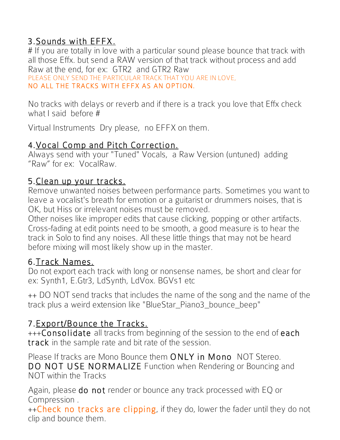# 3.Sounds with EFFX.

# If you are totally in love with a particular sound please bounce that track with all those Effx. but send a RAW version of that track without process and add Raw at the end, for ex: GTR2 and GTR2 Raw

PLEASE ONLY SEND THE PARTICULAR TRACK THAT YOU ARE IN LOVE, NO ALL THE TRACKS WITH EFFX AS AN OPTION.

No tracks with delays or reverb and if there is a track you love that Effx check what I said before #

Virtual Instruments Dry please, no EFFX on them.

### 4.Vocal Comp and Pitch Correction.

Always send with your "Tuned" Vocals, a Raw Version (untuned) adding "Raw" for ex: VocalRaw.

#### 5.Clean up your tracks.

Remove unwanted noises between performance parts. Sometimes you want to leave a vocalist's breath for emotion or a guitarist or drummers noises, that is OK, but Hiss or irrelevant noises must be removed.

Other noises like improper edits that cause clicking, popping or other artifacts. Cross-fading at edit points need to be smooth, a good measure is to hear the track in Solo to find any noises. All these little things that may not be heard before mixing will most likely show up in the master.

#### 6.Track Names.

Do not export each track with long or nonsense names, be short and clear for ex: Synth1, E.Gtr3, LdSynth, LdVox. BGVs1 etc

++ DO NOT send tracks that includes the name of the song and the name of the track plus a weird extension like "BlueStar\_Piano3\_bounce\_beep"

# 7.Export/Bounce the Tracks.

+++Consolidate all tracks from beginning of the session to the end of each track in the sample rate and bit rate of the session.

Please If tracks are Mono Bounce them ONLY in Mono NOT Stereo. DO NOT USE NORMALIZE Function when Rendering or Bouncing and NOT within the Tracks

Again, please do not render or bounce any track processed with EQ or Compression .

++Check no tracks are clipping, if they do, lower the fader until they do not clip and bounce them.